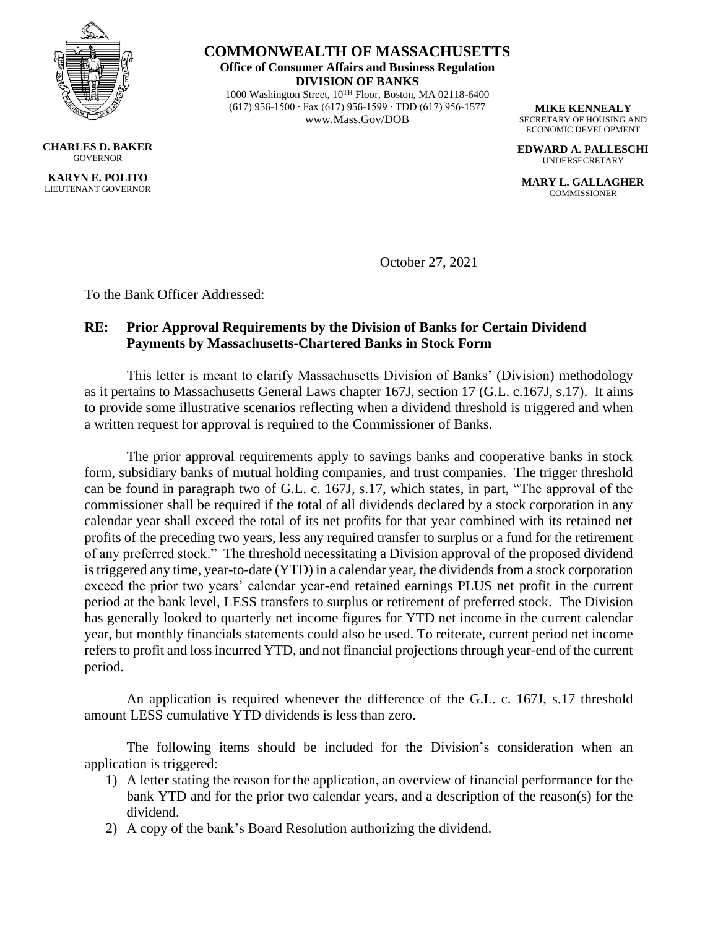

**CHARLES D. BAKER GOVERNOR KARYN E. POLITO** LIEUTENANT GOVERNOR

**COMMONWEALTH OF MASSACHUSETTS Office of Consumer Affairs and Business Regulation DIVISION OF BANKS** 1000 Washington Street, 10TH Floor, Boston, MA 02118-6400

(617) 956-1500 ∙ Fax (617) 956-1599 ∙ TDD (617) 956-1577 www.Mass.Gov/DOB

**MIKE KENNEALY** SECRETARY OF HOUSING AND ECONOMIC DEVELOPMENT

**EDWARD A. PALLESCHI** UNDERSECRETARY

**MARY L. GALLAGHER COMMISSIONER** 

October 27, 2021

To the Bank Officer Addressed:

## **RE: Prior Approval Requirements by the Division of Banks for Certain Dividend Payments by Massachusetts-Chartered Banks in Stock Form**

This letter is meant to clarify Massachusetts Division of Banks' (Division) methodology as it pertains to Massachusetts General Laws chapter 167J, section 17 (G.L. c.167J, s.17). It aims to provide some illustrative scenarios reflecting when a dividend threshold is triggered and when a written request for approval is required to the Commissioner of Banks.

The prior approval requirements apply to savings banks and cooperative banks in stock form, subsidiary banks of mutual holding companies, and trust companies. The trigger threshold can be found in paragraph two of G.L. c. 167J, s.17, which states, in part, "The approval of the commissioner shall be required if the total of all dividends declared by a stock corporation in any calendar year shall exceed the total of its net profits for that year combined with its retained net profits of the preceding two years, less any required transfer to surplus or a fund for the retirement of any preferred stock." The threshold necessitating a Division approval of the proposed dividend is triggered any time, year-to-date (YTD) in a calendar year, the dividends from a stock corporation exceed the prior two years' calendar year-end retained earnings PLUS net profit in the current period at the bank level, LESS transfers to surplus or retirement of preferred stock. The Division has generally looked to quarterly net income figures for YTD net income in the current calendar year, but monthly financials statements could also be used. To reiterate, current period net income refers to profit and loss incurred YTD, and not financial projections through year-end of the current period.

An application is required whenever the difference of the G.L. c. 167J, s.17 threshold amount LESS cumulative YTD dividends is less than zero.

The following items should be included for the Division's consideration when an application is triggered:

- 1) A letter stating the reason for the application, an overview of financial performance for the bank YTD and for the prior two calendar years, and a description of the reason(s) for the dividend.
- 2) A copy of the bank's Board Resolution authorizing the dividend.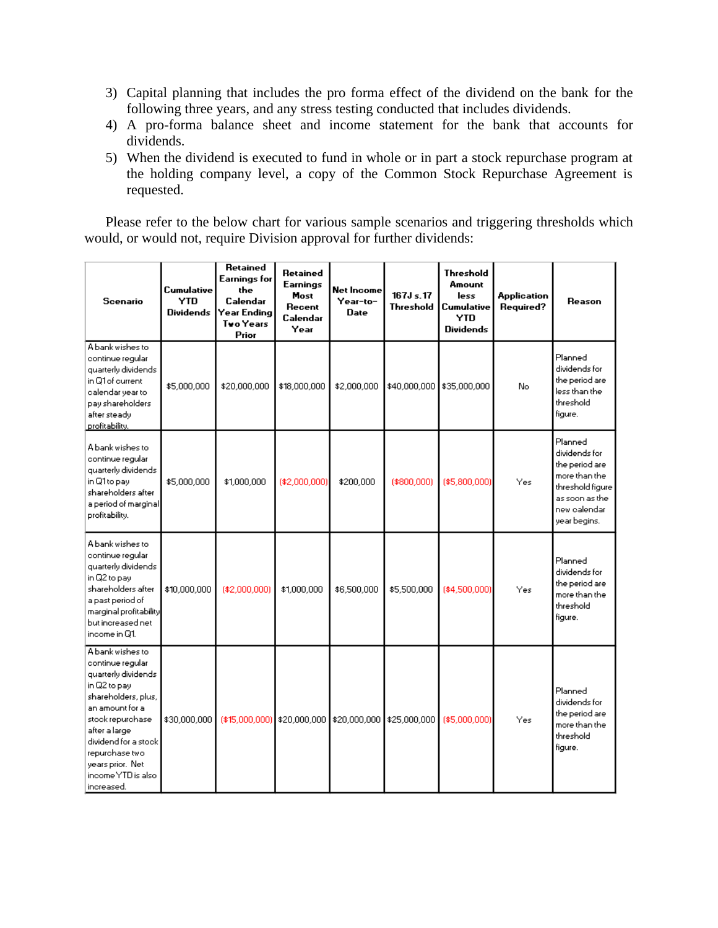- 3) Capital planning that includes the pro forma effect of the dividend on the bank for the following three years, and any stress testing conducted that includes dividends.
- 4) A pro-forma balance sheet and income statement for the bank that accounts for dividends.
- 5) When the dividend is executed to fund in whole or in part a stock repurchase program at the holding company level, a copy of the Common Stock Repurchase Agreement is requested.

Please refer to the below chart for various sample scenarios and triggering thresholds which would, or would not, require Division approval for further dividends:

| Scenario                                                                                                                                                                                                                                                     | Cumulative<br><b>YTD</b><br>Dividends | Retained<br>Earnings for<br>the<br>Calendar<br>Year Ending<br><b>Tvo Years</b><br>Prior | Retained<br>Earnings<br>Most<br>Recent<br>Calendar<br>Year | Net Income<br>Year-to-<br>Date | $167Js$ . 17<br>Threshold | <b>Threshold</b><br>Amount<br>less<br>Cumulative<br><b>YTD</b><br><b>Dividends</b> | Application<br>Required? | Reason                                                                                                                            |
|--------------------------------------------------------------------------------------------------------------------------------------------------------------------------------------------------------------------------------------------------------------|---------------------------------------|-----------------------------------------------------------------------------------------|------------------------------------------------------------|--------------------------------|---------------------------|------------------------------------------------------------------------------------|--------------------------|-----------------------------------------------------------------------------------------------------------------------------------|
| A bank wishes to<br>continue regular<br>quarterly dividends.<br>in Q1 of current<br>calendar year to<br>pay shareholders<br>after steady<br>profitability.                                                                                                   | \$5,000,000                           | \$20,000,000                                                                            | \$18,000,000                                               | \$2,000,000                    | \$40,000,000              | \$35,000,000                                                                       | No                       | Planned<br>dividends for<br>the period are<br>less than the<br>threshold<br>figure.                                               |
| A bank wishes to<br>continue regular<br>quarterly dividends<br>in Q1 to pay<br>shareholders after<br>a period of marginal<br>profitability.                                                                                                                  | \$5,000,000                           | \$1,000,000                                                                             | (\$2,000,000)                                              | \$200,000                      | $(*800.000)$              | (\$5,800,000)                                                                      | Yes                      | Planned<br>dividends for<br>the period are<br>more than the<br>threshold figure<br>as soon as the<br>new calendar<br>year begins. |
| A bank wishes to<br>continue regular<br>quarterly dividends<br>in Q2 to pay<br>shareholders after<br>a past period of<br>marginal profitability<br>but increased net<br>income in Q1.                                                                        | \$10,000,000                          | $(*2,000,000)$                                                                          | \$1,000,000                                                | \$6,500,000                    | \$5,500,000               | (\$4,500,000)                                                                      | Yes                      | Planned<br>dividends for<br>the period are<br>more than the<br>threshold<br>figure.                                               |
| A bank wishes to<br>continue regular<br>quarterly dividends<br>in Q2 to pay<br>shareholders, plus,<br>an amount for a<br>stock repurchase<br>after a large<br>dividend for a stock<br>repurchase two<br>years prior. Net<br>income YTD is also<br>increased. | \$30,000,000                          | (\$15,000,000) \$20,000,000                                                             |                                                            | \$20,000,000                   | \$25,000,000              | (\$5,000,000)                                                                      | Yes                      | Planned<br>dividends for<br>the period are<br>more than the<br>threshold<br>figure.                                               |